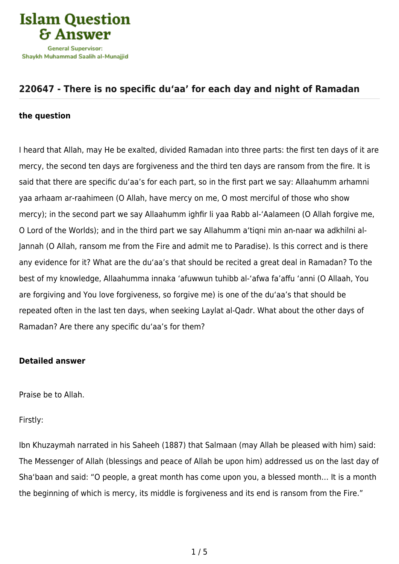

## **[220647 - There is no specific du'aa' for each day and night of Ramadan](https://islamqa.com/en/answers/220647/there-is-no-specific-duaa-for-each-day-and-night-of-ramadan)**

## **the question**

I heard that Allah, may He be exalted, divided Ramadan into three parts: the first ten days of it are mercy, the second ten days are forgiveness and the third ten days are ransom from the fire. It is said that there are specific du'aa's for each part, so in the first part we say: Allaahumm arhamni yaa arhaam ar-raahimeen (O Allah, have mercy on me, O most merciful of those who show mercy); in the second part we say Allaahumm ighfir li yaa Rabb al-'Aalameen (O Allah forgive me, O Lord of the Worlds); and in the third part we say Allahumm a'tiqni min an-naar wa adkhilni al-Jannah (O Allah, ransom me from the Fire and admit me to Paradise). Is this correct and is there any evidence for it? What are the du'aa's that should be recited a great deal in Ramadan? To the best of my knowledge, Allaahumma innaka 'afuwwun tuhibb al-'afwa fa'affu 'anni (O Allaah, You are forgiving and You love forgiveness, so forgive me) is one of the du'aa's that should be repeated often in the last ten days, when seeking Laylat al-Qadr. What about the other days of Ramadan? Are there any specific du'aa's for them?

## **Detailed answer**

Praise be to Allah.

Firstly:

Ibn Khuzaymah narrated in his Saheeh (1887) that Salmaan (may Allah be pleased with him) said: The Messenger of Allah (blessings and peace of Allah be upon him) addressed us on the last day of Sha'baan and said: "O people, a great month has come upon you, a blessed month… It is a month the beginning of which is mercy, its middle is forgiveness and its end is ransom from the Fire."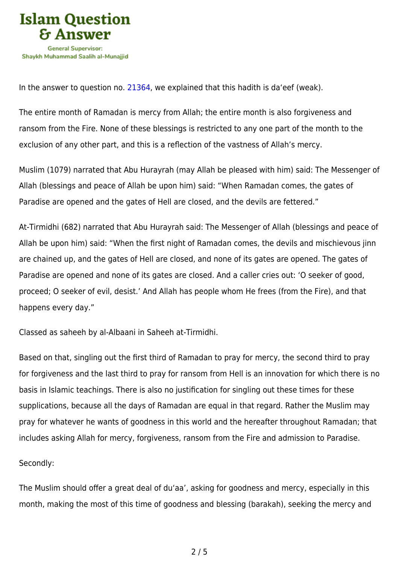

In the answer to question no. [21364](https://islamqa.com/en/answers/21364), we explained that this hadith is da'eef (weak).

The entire month of Ramadan is mercy from Allah; the entire month is also forgiveness and ransom from the Fire. None of these blessings is restricted to any one part of the month to the exclusion of any other part, and this is a reflection of the vastness of Allah's mercy.

Muslim (1079) narrated that Abu Hurayrah (may Allah be pleased with him) said: The Messenger of Allah (blessings and peace of Allah be upon him) said: "When Ramadan comes, the gates of Paradise are opened and the gates of Hell are closed, and the devils are fettered."

At-Tirmidhi (682) narrated that Abu Hurayrah said: The Messenger of Allah (blessings and peace of Allah be upon him) said: "When the first night of Ramadan comes, the devils and mischievous jinn are chained up, and the gates of Hell are closed, and none of its gates are opened. The gates of Paradise are opened and none of its gates are closed. And a caller cries out: 'O seeker of good, proceed; O seeker of evil, desist.' And Allah has people whom He frees (from the Fire), and that happens every day."

Classed as saheeh by al-Albaani in Saheeh at-Tirmidhi.

Based on that, singling out the first third of Ramadan to pray for mercy, the second third to pray for forgiveness and the last third to pray for ransom from Hell is an innovation for which there is no basis in Islamic teachings. There is also no justification for singling out these times for these supplications, because all the days of Ramadan are equal in that regard. Rather the Muslim may pray for whatever he wants of goodness in this world and the hereafter throughout Ramadan; that includes asking Allah for mercy, forgiveness, ransom from the Fire and admission to Paradise.

## Secondly:

The Muslim should offer a great deal of du'aa', asking for goodness and mercy, especially in this month, making the most of this time of goodness and blessing (barakah), seeking the mercy and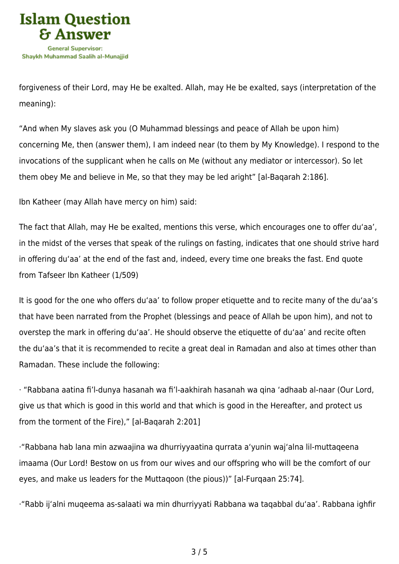

forgiveness of their Lord, may He be exalted. Allah, may He be exalted, says (interpretation of the meaning):

"And when My slaves ask you (O Muhammad blessings and peace of Allah be upon him) concerning Me, then (answer them), I am indeed near (to them by My Knowledge). I respond to the invocations of the supplicant when he calls on Me (without any mediator or intercessor). So let them obey Me and believe in Me, so that they may be led aright" [al-Baqarah 2:186].

Ibn Katheer (may Allah have mercy on him) said:

The fact that Allah, may He be exalted, mentions this verse, which encourages one to offer du'aa', in the midst of the verses that speak of the rulings on fasting, indicates that one should strive hard in offering du'aa' at the end of the fast and, indeed, every time one breaks the fast. End quote from Tafseer Ibn Katheer (1/509)

It is good for the one who offers du'aa' to follow proper etiquette and to recite many of the du'aa's that have been narrated from the Prophet (blessings and peace of Allah be upon him), and not to overstep the mark in offering du'aa'. He should observe the etiquette of du'aa' and recite often the du'aa's that it is recommended to recite a great deal in Ramadan and also at times other than Ramadan. These include the following:

· "Rabbana aatina fi'l-dunya hasanah wa fi'l-aakhirah hasanah wa qina 'adhaab al-naar (Our Lord, give us that which is good in this world and that which is good in the Hereafter, and protect us from the torment of the Fire)," [al-Baqarah 2:201]

·"Rabbana hab lana min azwaajina wa dhurriyyaatina qurrata a'yunin waj'alna lil-muttaqeena imaama (Our Lord! Bestow on us from our wives and our offspring who will be the comfort of our eyes, and make us leaders for the Muttaqoon (the pious))" [al-Furqaan 25:74].

·"Rabb ij'alni muqeema as-salaati wa min dhurriyyati Rabbana wa taqabbal du'aa'. Rabbana ighfir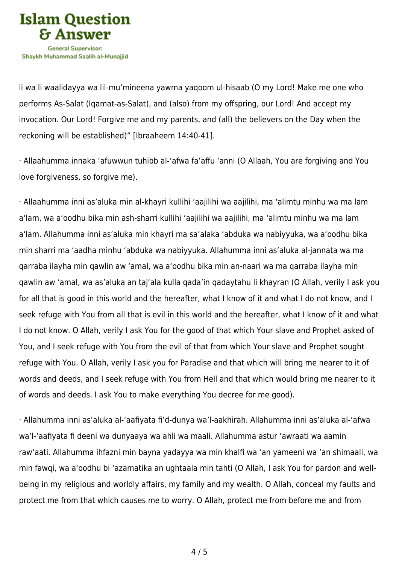

li wa li waalidayya wa lil-mu'mineena yawma yaqoom ul-hisaab (O my Lord! Make me one who performs As-Salat (Iqamat-as-Salat), and (also) from my offspring, our Lord! And accept my invocation. Our Lord! Forgive me and my parents, and (all) the believers on the Day when the reckoning will be established)" [Ibraaheem 14:40-41].

· Allaahumma innaka 'afuwwun tuhibb al-'afwa fa'affu 'anni (O Allaah, You are forgiving and You love forgiveness, so forgive me).

· Allaahumma inni as'aluka min al-khayri kullihi 'aajilihi wa aajilihi, ma 'alimtu minhu wa ma lam a'lam, wa a'oodhu bika min ash-sharri kullihi 'aajilihi wa aajilihi, ma 'alimtu minhu wa ma lam a'lam. Allahumma inni as'aluka min khayri ma sa'alaka 'abduka wa nabiyyuka, wa a'oodhu bika min sharri ma 'aadha minhu 'abduka wa nabiyyuka. Allahumma inni as'aluka al-jannata wa ma qarraba ilayha min qawlin aw 'amal, wa a'oodhu bika min an-naari wa ma qarraba ilayha min qawlin aw 'amal, wa as'aluka an taj'ala kulla qada'in qadaytahu li khayran (O Allah, verily I ask you for all that is good in this world and the hereafter, what I know of it and what I do not know, and I seek refuge with You from all that is evil in this world and the hereafter, what I know of it and what I do not know. O Allah, verily I ask You for the good of that which Your slave and Prophet asked of You, and I seek refuge with You from the evil of that from which Your slave and Prophet sought refuge with You. O Allah, verily I ask you for Paradise and that which will bring me nearer to it of words and deeds, and I seek refuge with You from Hell and that which would bring me nearer to it of words and deeds. I ask You to make everything You decree for me good).

· Allahumma inni as'aluka al-'aafiyata fi'd-dunya wa'l-aakhirah. Allahumma inni as'aluka al-'afwa wa'l-'aafiyata fi deeni wa dunyaaya wa ahli wa maali. Allahumma astur 'awraati wa aamin raw'aati. Allahumma ihfazni min bayna yadayya wa min khalfi wa 'an yameeni wa 'an shimaali, wa min fawqi, wa a'oodhu bi 'azamatika an ughtaala min tahti (O Allah, I ask You for pardon and wellbeing in my religious and worldly affairs, my family and my wealth. O Allah, conceal my faults and protect me from that which causes me to worry. O Allah, protect me from before me and from